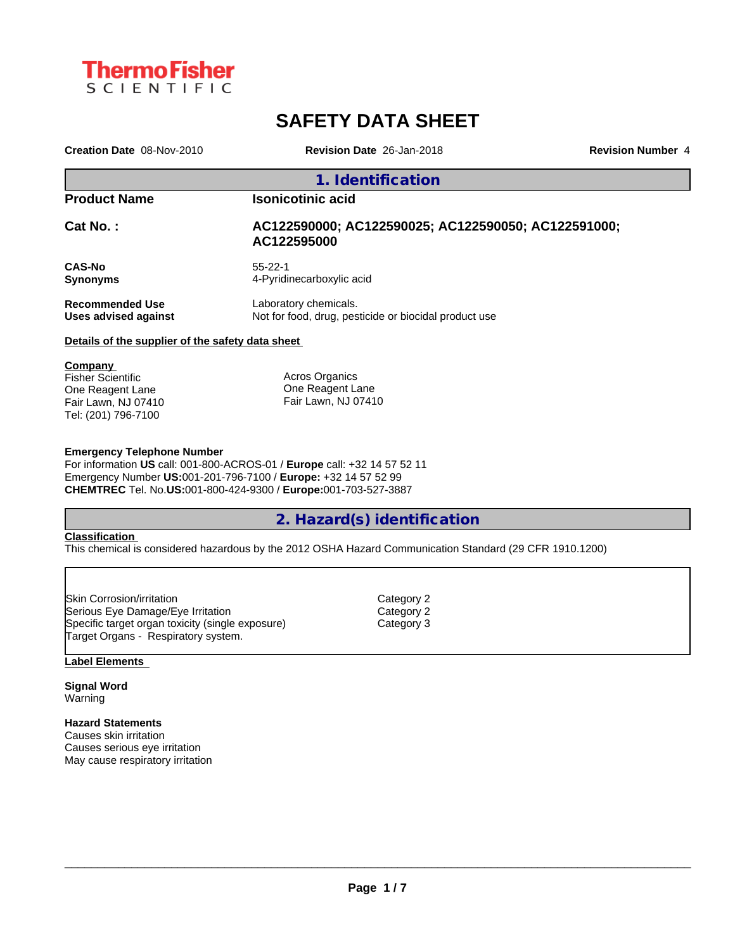

# **SAFETY DATA SHEET**

| Creation Date 08-Nov-2010                        | Revision Date 26-Jan-2018                                                      | <b>Revision Number 4</b> |
|--------------------------------------------------|--------------------------------------------------------------------------------|--------------------------|
|                                                  | 1. Identification                                                              |                          |
| <b>Product Name</b>                              | <b>Isonicotinic acid</b>                                                       |                          |
| <b>Cat No. :</b>                                 | AC122590000; AC122590025; AC122590050; AC122591000;<br>AC122595000             |                          |
| <b>CAS-No</b><br>Synonyms                        | $55 - 22 - 1$<br>4-Pyridinecarboxylic acid                                     |                          |
| <b>Recommended Use</b><br>Uses advised against   | Laboratory chemicals.<br>Not for food, drug, pesticide or biocidal product use |                          |
| Details of the supplier of the safety data sheet |                                                                                |                          |
| <b>Company</b><br>Fisher Scientific              | Acros Organics                                                                 |                          |

One Reagent Lane Fair Lawn, NJ 07410 Tel: (201) 796-7100

One Reagent Lane Fair Lawn, NJ 07410

## **Emergency Telephone Number**

For information **US** call: 001-800-ACROS-01 / **Europe** call: +32 14 57 52 11 Emergency Number **US:**001-201-796-7100 / **Europe:** +32 14 57 52 99 **CHEMTREC** Tel. No.**US:**001-800-424-9300 / **Europe:**001-703-527-3887

# **2. Hazard(s) identification**

#### **Classification**

This chemical is considered hazardous by the 2012 OSHA Hazard Communication Standard (29 CFR 1910.1200)

| Category 2 |  |
|------------|--|
| Category 2 |  |
| Category 3 |  |
|            |  |
|            |  |

#### **Label Elements**

**Signal Word** Warning

## **Hazard Statements**

Causes skin irritation Causes serious eye irritation May cause respiratory irritation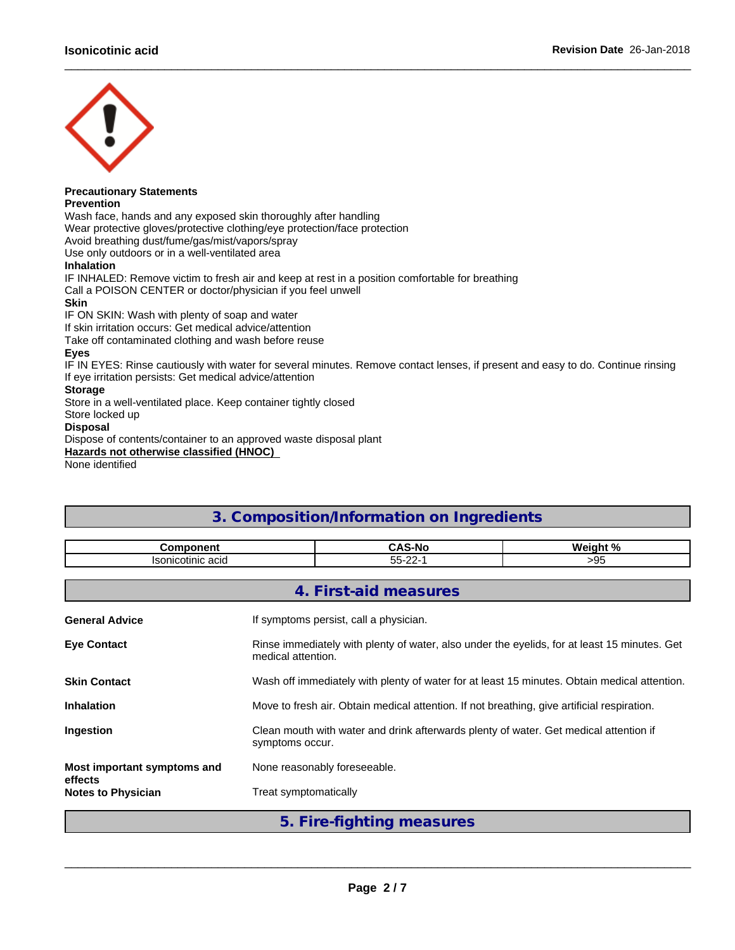

#### **Precautionary Statements Prevention**

Wash face, hands and any exposed skin thoroughly after handling

Wear protective gloves/protective clothing/eye protection/face protection

Avoid breathing dust/fume/gas/mist/vapors/spray

Use only outdoors or in a well-ventilated area

## **Inhalation**

IF INHALED: Remove victim to fresh air and keep at rest in a position comfortable for breathing Call a POISON CENTER or doctor/physician if you feel unwell

## **Skin**

IF ON SKIN: Wash with plenty of soap and water

If skin irritation occurs: Get medical advice/attention

Take off contaminated clothing and wash before reuse

# **Eyes**

IF IN EYES: Rinse cautiously with water for several minutes. Remove contact lenses, if present and easy to do. Continue rinsing If eye irritation persists: Get medical advice/attention

 $\_$  ,  $\_$  ,  $\_$  ,  $\_$  ,  $\_$  ,  $\_$  ,  $\_$  ,  $\_$  ,  $\_$  ,  $\_$  ,  $\_$  ,  $\_$  ,  $\_$  ,  $\_$  ,  $\_$  ,  $\_$  ,  $\_$  ,  $\_$  ,  $\_$  ,  $\_$  ,  $\_$  ,  $\_$  ,  $\_$  ,  $\_$  ,  $\_$  ,  $\_$  ,  $\_$  ,  $\_$  ,  $\_$  ,  $\_$  ,  $\_$  ,  $\_$  ,  $\_$  ,  $\_$  ,  $\_$  ,  $\_$  ,  $\_$  ,

## **Storage**

Store in a well-ventilated place. Keep container tightly closed

Store locked up

## **Disposal**

Dispose of contents/container to an approved waste disposal plant

**Hazards not otherwise classified (HNOC)**

None identified

# **3. Composition/Information on Ingredients**

| $\sim$<br>$- -$<br>50.0<br>200<br>stinic<br>$\sim$<br>салн<br>auu<br>טטו<br>◡◡<br>ື້ | --------- | ٠N٥<br>. | $\mathbf{a}$<br>. .<br>" |
|--------------------------------------------------------------------------------------|-----------|----------|--------------------------|
|                                                                                      |           |          |                          |

**4. First-aid measures**

| <b>General Advice</b>                  | If symptoms persist, call a physician.                                                                             |
|----------------------------------------|--------------------------------------------------------------------------------------------------------------------|
| <b>Eve Contact</b>                     | Rinse immediately with plenty of water, also under the eyelids, for at least 15 minutes. Get<br>medical attention. |
| <b>Skin Contact</b>                    | Wash off immediately with plenty of water for at least 15 minutes. Obtain medical attention.                       |
| <b>Inhalation</b>                      | Move to fresh air. Obtain medical attention. If not breathing, give artificial respiration.                        |
| <b>Ingestion</b>                       | Clean mouth with water and drink afterwards plenty of water. Get medical attention if<br>symptoms occur.           |
| Most important symptoms and<br>effects | None reasonably foreseeable.                                                                                       |
| <b>Notes to Physician</b>              | Treat symptomatically                                                                                              |

**5. Fire-fighting measures**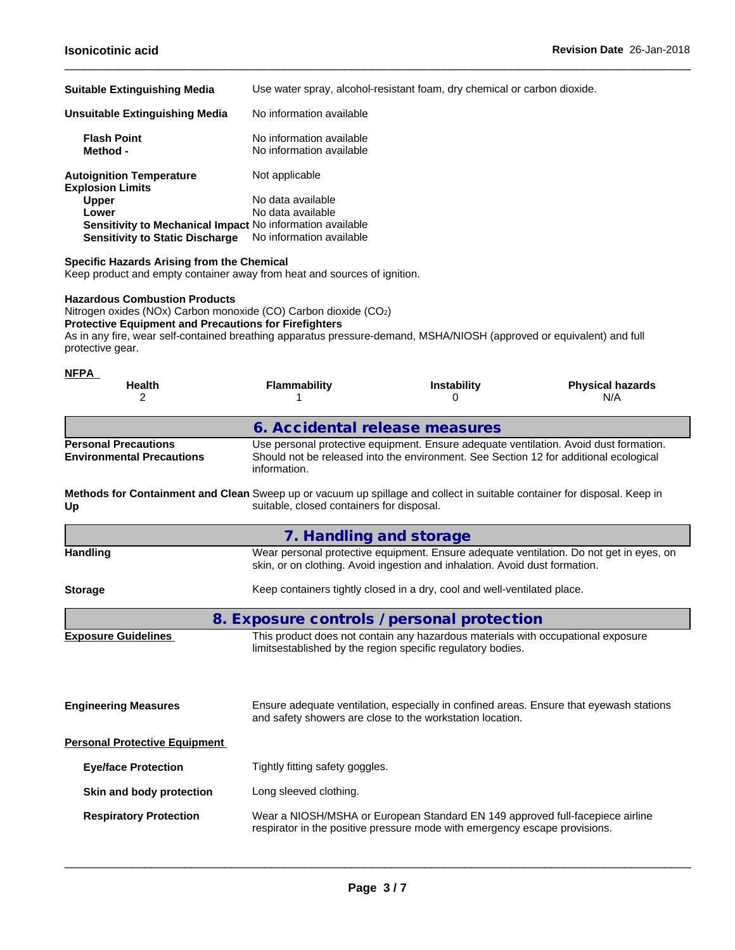| <b>Suitable Extinguishing Media</b>                        | Use water spray, alcohol-resistant foam, dry chemical or carbon dioxide. |
|------------------------------------------------------------|--------------------------------------------------------------------------|
| Unsuitable Extinguishing Media                             | No information available                                                 |
| <b>Flash Point</b><br>Method -                             | No information available<br>No information available                     |
| <b>Autoignition Temperature</b><br><b>Explosion Limits</b> | Not applicable                                                           |
| <b>Upper</b>                                               | No data available                                                        |
| Lower                                                      | No data available                                                        |
| Sensitivity to Mechanical Impact No information available  |                                                                          |
| <b>Sensitivity to Static Discharge</b>                     | No information available                                                 |

 $\_$  ,  $\_$  ,  $\_$  ,  $\_$  ,  $\_$  ,  $\_$  ,  $\_$  ,  $\_$  ,  $\_$  ,  $\_$  ,  $\_$  ,  $\_$  ,  $\_$  ,  $\_$  ,  $\_$  ,  $\_$  ,  $\_$  ,  $\_$  ,  $\_$  ,  $\_$  ,  $\_$  ,  $\_$  ,  $\_$  ,  $\_$  ,  $\_$  ,  $\_$  ,  $\_$  ,  $\_$  ,  $\_$  ,  $\_$  ,  $\_$  ,  $\_$  ,  $\_$  ,  $\_$  ,  $\_$  ,  $\_$  ,  $\_$  ,

## **Specific Hazards Arising from the Chemical**

Keep product and empty container away from heat and sources of ignition.

## **Hazardous Combustion Products**

Nitrogen oxides (NOx) Carbon monoxide (CO) Carbon dioxide (CO2)

**Protective Equipment and Precautions for Firefighters**

As in any fire, wear self-contained breathing apparatus pressure-demand, MSHA/NIOSH (approved or equivalent) and full protective gear.

| <b>NFPA</b><br><b>Health</b>                                                                                                   | <b>Flammability</b>                        | <b>Instability</b>                                                                                                                                                             | <b>Physical hazards</b>                                                                 |  |  |  |  |  |  |
|--------------------------------------------------------------------------------------------------------------------------------|--------------------------------------------|--------------------------------------------------------------------------------------------------------------------------------------------------------------------------------|-----------------------------------------------------------------------------------------|--|--|--|--|--|--|
| 2                                                                                                                              |                                            | 0                                                                                                                                                                              | N/A                                                                                     |  |  |  |  |  |  |
|                                                                                                                                | 6. Accidental release measures             |                                                                                                                                                                                |                                                                                         |  |  |  |  |  |  |
| <b>Personal Precautions</b><br><b>Environmental Precautions</b>                                                                | information.                               | Use personal protective equipment. Ensure adequate ventilation. Avoid dust formation.<br>Should not be released into the environment. See Section 12 for additional ecological |                                                                                         |  |  |  |  |  |  |
| Methods for Containment and Clean Sweep up or vacuum up spillage and collect in suitable container for disposal. Keep in<br>Up | suitable, closed containers for disposal.  |                                                                                                                                                                                |                                                                                         |  |  |  |  |  |  |
|                                                                                                                                | 7. Handling and storage                    |                                                                                                                                                                                |                                                                                         |  |  |  |  |  |  |
| <b>Handling</b>                                                                                                                |                                            | skin, or on clothing. Avoid ingestion and inhalation. Avoid dust formation.                                                                                                    | Wear personal protective equipment. Ensure adequate ventilation. Do not get in eyes, on |  |  |  |  |  |  |
| <b>Storage</b>                                                                                                                 |                                            | Keep containers tightly closed in a dry, cool and well-ventilated place.                                                                                                       |                                                                                         |  |  |  |  |  |  |
|                                                                                                                                | 8. Exposure controls / personal protection |                                                                                                                                                                                |                                                                                         |  |  |  |  |  |  |
| <b>Exposure Guidelines</b>                                                                                                     |                                            | This product does not contain any hazardous materials with occupational exposure<br>limitsestablished by the region specific regulatory bodies.                                |                                                                                         |  |  |  |  |  |  |
| <b>Engineering Measures</b>                                                                                                    |                                            | and safety showers are close to the workstation location.                                                                                                                      | Ensure adequate ventilation, especially in confined areas. Ensure that eyewash stations |  |  |  |  |  |  |
| <b>Personal Protective Equipment</b>                                                                                           |                                            |                                                                                                                                                                                |                                                                                         |  |  |  |  |  |  |
| <b>Eye/face Protection</b>                                                                                                     | Tightly fitting safety goggles.            |                                                                                                                                                                                |                                                                                         |  |  |  |  |  |  |
| Skin and body protection                                                                                                       | Long sleeved clothing.                     |                                                                                                                                                                                |                                                                                         |  |  |  |  |  |  |
| <b>Respiratory Protection</b>                                                                                                  |                                            | Wear a NIOSH/MSHA or European Standard EN 149 approved full-facepiece airline<br>respirator in the positive pressure mode with emergency escape provisions.                    |                                                                                         |  |  |  |  |  |  |
|                                                                                                                                |                                            |                                                                                                                                                                                |                                                                                         |  |  |  |  |  |  |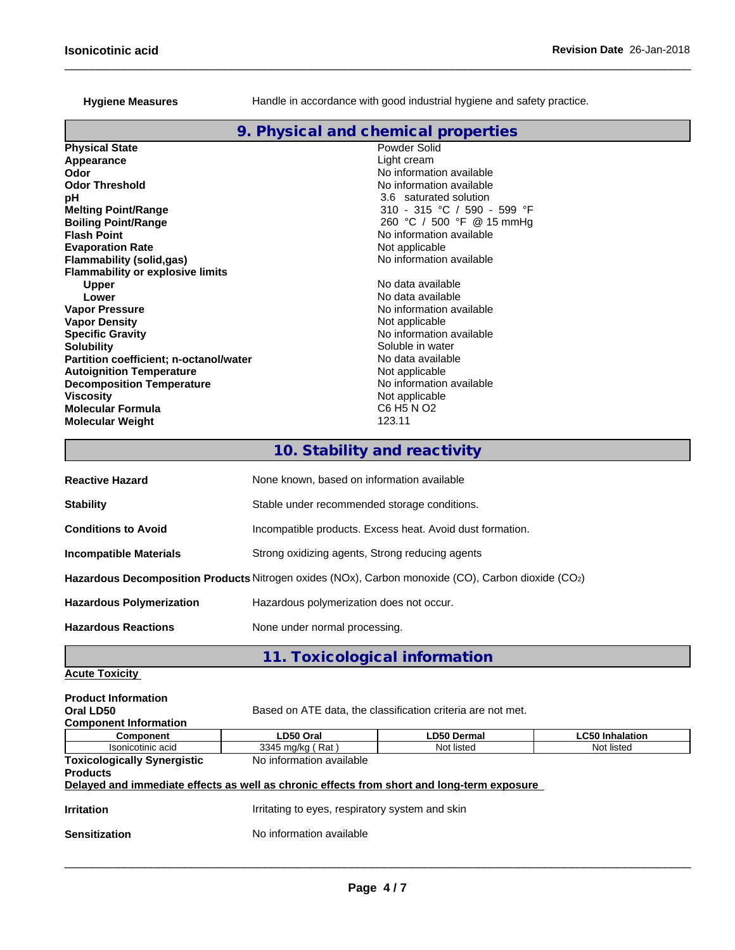Hygiene Measures **Handle** in accordance with good industrial hygiene and safety practice.

 $\_$  ,  $\_$  ,  $\_$  ,  $\_$  ,  $\_$  ,  $\_$  ,  $\_$  ,  $\_$  ,  $\_$  ,  $\_$  ,  $\_$  ,  $\_$  ,  $\_$  ,  $\_$  ,  $\_$  ,  $\_$  ,  $\_$  ,  $\_$  ,  $\_$  ,  $\_$  ,  $\_$  ,  $\_$  ,  $\_$  ,  $\_$  ,  $\_$  ,  $\_$  ,  $\_$  ,  $\_$  ,  $\_$  ,  $\_$  ,  $\_$  ,  $\_$  ,  $\_$  ,  $\_$  ,  $\_$  ,  $\_$  ,  $\_$  ,

# **9. Physical and chemical properties**

| <b>Physical State</b>                         | Powder Solid                |
|-----------------------------------------------|-----------------------------|
| Appearance                                    | Light cream                 |
| Odor                                          | No information available    |
| <b>Odor Threshold</b>                         | No information available    |
| pН                                            | 3.6 saturated solution      |
| <b>Melting Point/Range</b>                    | 310 - 315 °C / 590 - 599 °F |
| <b>Boiling Point/Range</b>                    | 260 °C / 500 °F @ 15 mmHq   |
| <b>Flash Point</b>                            | No information available    |
| <b>Evaporation Rate</b>                       | Not applicable              |
| Flammability (solid,gas)                      | No information available    |
| <b>Flammability or explosive limits</b>       |                             |
| <b>Upper</b>                                  | No data available           |
| Lower                                         | No data available           |
| <b>Vapor Pressure</b>                         | No information available    |
| <b>Vapor Density</b>                          | Not applicable              |
| <b>Specific Gravity</b>                       | No information available    |
| Solubility                                    | Soluble in water            |
| <b>Partition coefficient; n-octanol/water</b> | No data available           |
| <b>Autoignition Temperature</b>               | Not applicable              |
| <b>Decomposition Temperature</b>              | No information available    |
| Viscosity                                     | Not applicable              |
| Molecular Formula                             | C6 H5 N O2                  |
| <b>Molecular Weight</b>                       | 123.11                      |
|                                               |                             |

# **10. Stability and reactivity**

| <b>Reactive Hazard</b>          | None known, based on information available                                                         |
|---------------------------------|----------------------------------------------------------------------------------------------------|
| <b>Stability</b>                | Stable under recommended storage conditions.                                                       |
| <b>Conditions to Avoid</b>      | Incompatible products. Excess heat. Avoid dust formation.                                          |
| <b>Incompatible Materials</b>   | Strong oxidizing agents, Strong reducing agents                                                    |
|                                 | Hazardous Decomposition Products Nitrogen oxides (NOx), Carbon monoxide (CO), Carbon dioxide (CO2) |
| <b>Hazardous Polymerization</b> | Hazardous polymerization does not occur.                                                           |
| <b>Hazardous Reactions</b>      | None under normal processing.                                                                      |

**11. Toxicological information**

# **Acute Toxicity**

| <b>Product Information</b>         |                                                                                            |                                                             |                        |
|------------------------------------|--------------------------------------------------------------------------------------------|-------------------------------------------------------------|------------------------|
| Oral LD50                          |                                                                                            | Based on ATE data, the classification criteria are not met. |                        |
| <b>Component Information</b>       |                                                                                            |                                                             |                        |
| <b>Component</b>                   | LD50 Oral                                                                                  | <b>LD50 Dermal</b>                                          | <b>LC50 Inhalation</b> |
| Isonicotinic acid                  | 3345 mg/kg (Rat)                                                                           | Not listed                                                  | Not listed             |
| <b>Toxicologically Synergistic</b> | No information available                                                                   |                                                             |                        |
| <b>Products</b>                    |                                                                                            |                                                             |                        |
|                                    | Delayed and immediate effects as well as chronic effects from short and long-term exposure |                                                             |                        |
| <b>Irritation</b>                  | Irritating to eyes, respiratory system and skin                                            |                                                             |                        |
|                                    |                                                                                            |                                                             |                        |
| <b>Sensitization</b>               | No information available                                                                   |                                                             |                        |
|                                    |                                                                                            |                                                             |                        |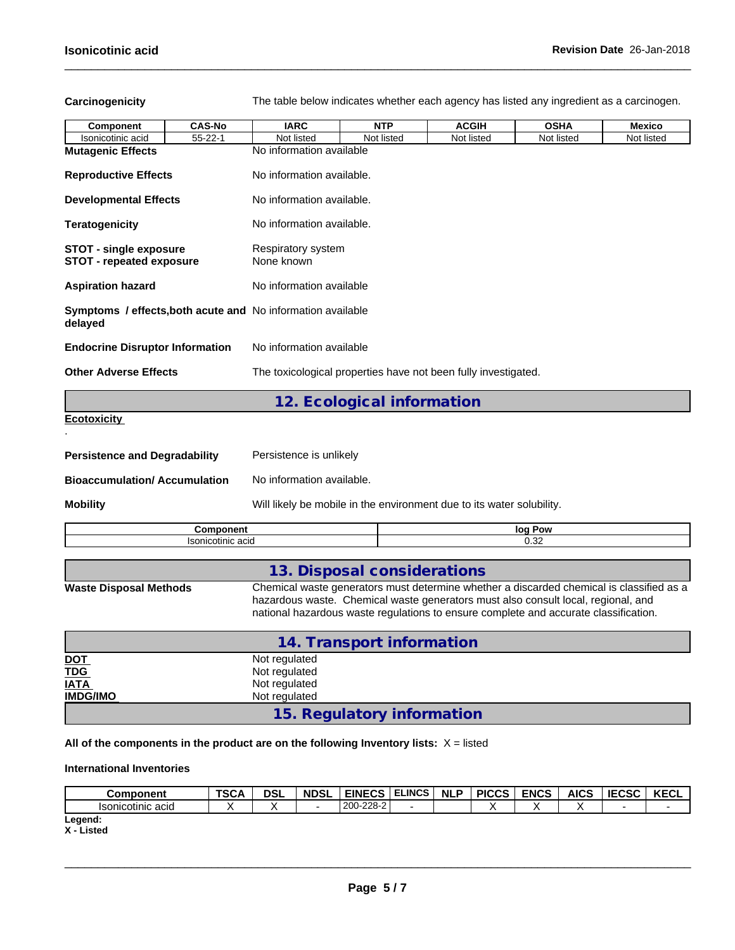**Carcinogenicity** The table below indicateswhether each agency has listed any ingredient as a carcinogen.

 $\_$  ,  $\_$  ,  $\_$  ,  $\_$  ,  $\_$  ,  $\_$  ,  $\_$  ,  $\_$  ,  $\_$  ,  $\_$  ,  $\_$  ,  $\_$  ,  $\_$  ,  $\_$  ,  $\_$  ,  $\_$  ,  $\_$  ,  $\_$  ,  $\_$  ,  $\_$  ,  $\_$  ,  $\_$  ,  $\_$  ,  $\_$  ,  $\_$  ,  $\_$  ,  $\_$  ,  $\_$  ,  $\_$  ,  $\_$  ,  $\_$  ,  $\_$  ,  $\_$  ,  $\_$  ,  $\_$  ,  $\_$  ,  $\_$  ,

| Component                                                              | <b>CAS-No</b>     | <b>IARC</b>                      | <b>NTP</b>                                                                                                                                                                                                                                                            | <b>ACGIH</b> | <b>OSHA</b> | <b>Mexico</b> |
|------------------------------------------------------------------------|-------------------|----------------------------------|-----------------------------------------------------------------------------------------------------------------------------------------------------------------------------------------------------------------------------------------------------------------------|--------------|-------------|---------------|
| Isonicotinic acid                                                      | $55 - 22 - 1$     | Not listed                       | Not listed                                                                                                                                                                                                                                                            | Not listed   | Not listed  | Not listed    |
| <b>Mutagenic Effects</b>                                               |                   | No information available         |                                                                                                                                                                                                                                                                       |              |             |               |
| <b>Reproductive Effects</b>                                            |                   | No information available.        |                                                                                                                                                                                                                                                                       |              |             |               |
| <b>Developmental Effects</b>                                           |                   | No information available.        |                                                                                                                                                                                                                                                                       |              |             |               |
| <b>Teratogenicity</b>                                                  |                   | No information available.        |                                                                                                                                                                                                                                                                       |              |             |               |
| <b>STOT - single exposure</b><br><b>STOT - repeated exposure</b>       |                   | Respiratory system<br>None known |                                                                                                                                                                                                                                                                       |              |             |               |
| <b>Aspiration hazard</b>                                               |                   | No information available         |                                                                                                                                                                                                                                                                       |              |             |               |
| Symptoms / effects, both acute and No information available<br>delayed |                   |                                  |                                                                                                                                                                                                                                                                       |              |             |               |
| <b>Endocrine Disruptor Information</b>                                 |                   | No information available         |                                                                                                                                                                                                                                                                       |              |             |               |
| <b>Other Adverse Effects</b>                                           |                   |                                  | The toxicological properties have not been fully investigated.                                                                                                                                                                                                        |              |             |               |
|                                                                        |                   |                                  | 12. Ecological information                                                                                                                                                                                                                                            |              |             |               |
| <b>Ecotoxicity</b>                                                     |                   |                                  |                                                                                                                                                                                                                                                                       |              |             |               |
| <b>Persistence and Degradability</b>                                   |                   | Persistence is unlikely          |                                                                                                                                                                                                                                                                       |              |             |               |
| <b>Bioaccumulation/Accumulation</b>                                    |                   | No information available.        |                                                                                                                                                                                                                                                                       |              |             |               |
| <b>Mobility</b>                                                        |                   |                                  | Will likely be mobile in the environment due to its water solubility.                                                                                                                                                                                                 |              |             |               |
|                                                                        | <b>Component</b>  |                                  |                                                                                                                                                                                                                                                                       |              | log Pow     |               |
|                                                                        | Isonicotinic acid |                                  |                                                                                                                                                                                                                                                                       |              | 0.32        |               |
|                                                                        |                   |                                  |                                                                                                                                                                                                                                                                       |              |             |               |
|                                                                        |                   |                                  | 13. Disposal considerations                                                                                                                                                                                                                                           |              |             |               |
| <b>Waste Disposal Methods</b>                                          |                   |                                  | Chemical waste generators must determine whether a discarded chemical is classified as a<br>hazardous waste. Chemical waste generators must also consult local, regional, and<br>national hazardous waste regulations to ensure complete and accurate classification. |              |             |               |

**14. Transport information DOT**<br> **DOT**<br> **TDG**<br>
Not regulated<br>
Not regulated **TDG** Not regulated **IATA I** Not regulated **IMDG/IMO** Not regulated

**15. Regulatory information**

**All of the components in the product are on the following Inventory lists:** X = listed

# **International Inventories**

| Component         | <b>TSCA</b> | <b>DSL</b> | <b>NDSL</b> | <b>EINECS</b> | <b>ELINCS</b> | <b>NLP</b> | <b>PICCS</b> | <b>ENCS</b> | <b>AICS</b> | <b>IECSC</b> | <b>IZEOI</b><br>ncul. |
|-------------------|-------------|------------|-------------|---------------|---------------|------------|--------------|-------------|-------------|--------------|-----------------------|
| Isonicotinic acid |             |            |             | 200-228-2     |               |            |              |             |             |              |                       |
| Legend:           |             |            |             |               |               |            |              |             |             |              |                       |

**X - Listed**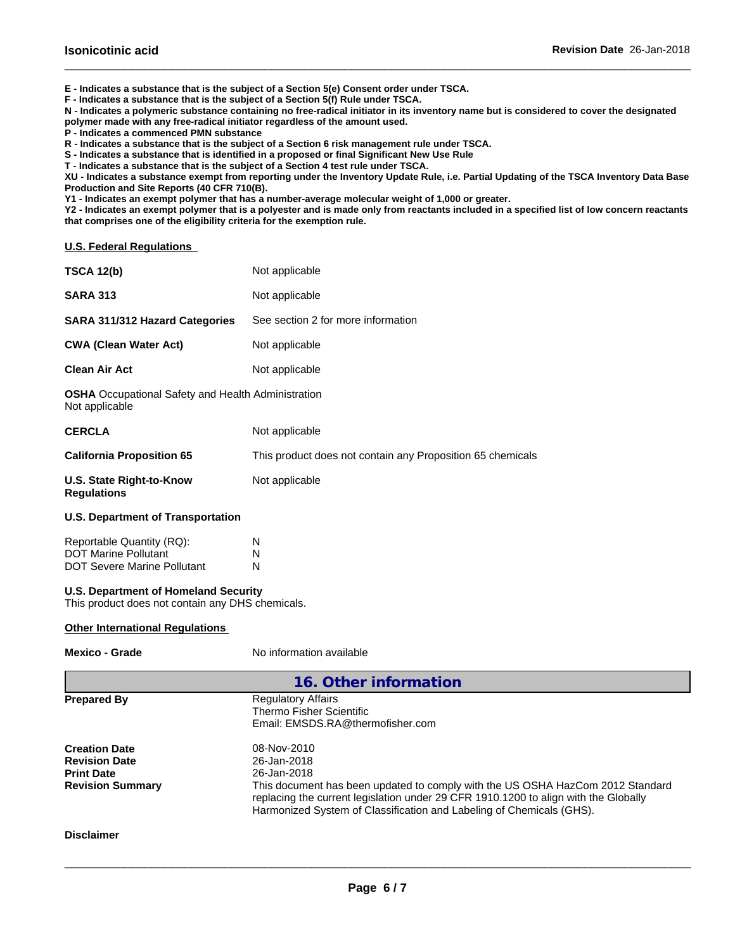**E - Indicates a substance that is the subject of a Section 5(e) Consent order under TSCA.**

**F - Indicates a substance that is the subject of a Section 5(f) Rule under TSCA.**

**N - Indicates a polymeric substance containing no free-radical initiator in its inventory name but is considered to cover the designated**

 $\_$  ,  $\_$  ,  $\_$  ,  $\_$  ,  $\_$  ,  $\_$  ,  $\_$  ,  $\_$  ,  $\_$  ,  $\_$  ,  $\_$  ,  $\_$  ,  $\_$  ,  $\_$  ,  $\_$  ,  $\_$  ,  $\_$  ,  $\_$  ,  $\_$  ,  $\_$  ,  $\_$  ,  $\_$  ,  $\_$  ,  $\_$  ,  $\_$  ,  $\_$  ,  $\_$  ,  $\_$  ,  $\_$  ,  $\_$  ,  $\_$  ,  $\_$  ,  $\_$  ,  $\_$  ,  $\_$  ,  $\_$  ,  $\_$  ,

**polymer made with any free-radical initiator regardless of the amount used.**

**P - Indicates a commenced PMN substance**

**R - Indicates a substance that is the subject of a Section 6 risk management rule under TSCA.**

**S - Indicates a substance that is identified in a proposed or final Significant New Use Rule**

**T - Indicates a substance that is the subject of a Section 4 test rule under TSCA.**

**XU - Indicates a substance exempt from reporting under the Inventory Update Rule, i.e. Partial Updating of the TSCA Inventory Data Base Production and Site Reports (40 CFR 710(B).**

**Y1 - Indicates an exempt polymer that has a number-average molecular weight of 1,000 or greater.**

**Y2 - Indicates an exempt polymer that is a polyester and is made only from reactants included in a specified list of low concern reactants that comprises one of the eligibility criteria for the exemption rule.**

**U.S. Federal Regulations**

| <b>TSCA 12(b)</b>                                                                               | Not applicable                                                                                                                                                                                                                                                                             |
|-------------------------------------------------------------------------------------------------|--------------------------------------------------------------------------------------------------------------------------------------------------------------------------------------------------------------------------------------------------------------------------------------------|
| <b>SARA 313</b>                                                                                 | Not applicable                                                                                                                                                                                                                                                                             |
| <b>SARA 311/312 Hazard Categories</b>                                                           | See section 2 for more information                                                                                                                                                                                                                                                         |
| <b>CWA (Clean Water Act)</b>                                                                    | Not applicable                                                                                                                                                                                                                                                                             |
| <b>Clean Air Act</b>                                                                            | Not applicable                                                                                                                                                                                                                                                                             |
| <b>OSHA</b> Occupational Safety and Health Administration<br>Not applicable                     |                                                                                                                                                                                                                                                                                            |
| <b>CERCLA</b>                                                                                   | Not applicable                                                                                                                                                                                                                                                                             |
| <b>California Proposition 65</b>                                                                | This product does not contain any Proposition 65 chemicals                                                                                                                                                                                                                                 |
| <b>U.S. State Right-to-Know</b><br><b>Regulations</b>                                           | Not applicable                                                                                                                                                                                                                                                                             |
| <b>U.S. Department of Transportation</b>                                                        |                                                                                                                                                                                                                                                                                            |
| Reportable Quantity (RQ):<br><b>DOT Marine Pollutant</b><br><b>DOT Severe Marine Pollutant</b>  | N<br>N<br>N                                                                                                                                                                                                                                                                                |
| <b>U.S. Department of Homeland Security</b><br>This product does not contain any DHS chemicals. |                                                                                                                                                                                                                                                                                            |
| <b>Other International Regulations</b>                                                          |                                                                                                                                                                                                                                                                                            |
| <b>Mexico - Grade</b>                                                                           | No information available                                                                                                                                                                                                                                                                   |
|                                                                                                 | 16. Other information                                                                                                                                                                                                                                                                      |
| <b>Prepared By</b>                                                                              | <b>Regulatory Affairs</b><br><b>Thermo Fisher Scientific</b><br>Email: EMSDS.RA@thermofisher.com                                                                                                                                                                                           |
| <b>Creation Date</b><br><b>Revision Date</b><br><b>Print Date</b><br><b>Revision Summary</b>    | 08-Nov-2010<br>26-Jan-2018<br>26-Jan-2018<br>This document has been updated to comply with the US OSHA HazCom 2012 Standard<br>replacing the current legislation under 29 CFR 1910.1200 to align with the Globally<br>Harmonized System of Classification and Labeling of Chemicals (GHS). |
| <b>Disclaimer</b>                                                                               |                                                                                                                                                                                                                                                                                            |